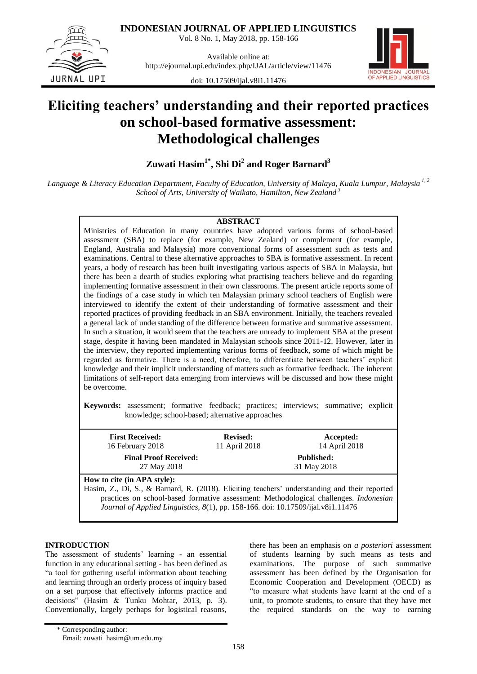**INDONESIAN JOURNAL OF APPLIED LINGUISTICS**

Vol. 8 No. 1, May 2018, pp. 158-166



Available online at: http://ejournal.upi.edu/index.php/IJAL/article/view/11476



doi: 10.17509/ijal.v8i1.11476

# **Eliciting teachers' understanding and their reported practices on school-based formative assessment: Methodological challenges**

**Zuwati Hasim1\* , Shi Di<sup>2</sup> and Roger Barnard<sup>3</sup>**

*Language & Literacy Education Department, Faculty of Education, University of Malaya, Kuala Lumpur, Malaysia 1, 2 School of Arts, University of Waikato, Hamilton, New Zealand <sup>3</sup>*

### **ABSTRACT**

Ministries of Education in many countries have adopted various forms of school-based assessment (SBA) to replace (for example, New Zealand) or complement (for example, England, Australia and Malaysia) more conventional forms of assessment such as tests and examinations. Central to these alternative approaches to SBA is formative assessment. In recent years, a body of research has been built investigating various aspects of SBA in Malaysia, but there has been a dearth of studies exploring what practising teachers believe and do regarding implementing formative assessment in their own classrooms. The present article reports some of the findings of a case study in which ten Malaysian primary school teachers of English were interviewed to identify the extent of their understanding of formative assessment and their reported practices of providing feedback in an SBA environment. Initially, the teachers revealed a general lack of understanding of the difference between formative and summative assessment. In such a situation, it would seem that the teachers are unready to implement SBA at the present stage, despite it having been mandated in Malaysian schools since 2011-12. However, later in the interview, they reported implementing various forms of feedback, some of which might be regarded as formative. There is a need, therefore, to differentiate between teachers" explicit knowledge and their implicit understanding of matters such as formative feedback. The inherent limitations of self-report data emerging from interviews will be discussed and how these might be overcome.

**Keywords:** assessment; formative feedback; practices; interviews; summative; explicit knowledge; school-based; alternative approaches

| <b>First Received:</b><br>16 February 2018                                                    | <b>Revised:</b><br>11 April 2018                                                 | Accepted:<br>14 April 2018                                                            |
|-----------------------------------------------------------------------------------------------|----------------------------------------------------------------------------------|---------------------------------------------------------------------------------------|
| <b>Final Proof Received:</b>                                                                  | <b>Published:</b>                                                                |                                                                                       |
| 27 May 2018                                                                                   |                                                                                  | 31 May 2018                                                                           |
| How to cite (in APA style):                                                                   |                                                                                  |                                                                                       |
| Hasim, Z., Di, S., & Barnard, R. (2018). Eliciting teachers' understanding and their reported |                                                                                  |                                                                                       |
|                                                                                               |                                                                                  | practices on school-based formative assessment: Methodological challenges. Indonesian |
|                                                                                               | Journal of Applied Linguistics, 8(1), pp. 158-166. doi: 10.17509/ijal.v8i1.11476 |                                                                                       |

## **INTRODUCTION**

The assessment of students' learning - an essential function in any educational setting - has been defined as "a tool for gathering useful information about teaching and learning through an orderly process of inquiry based on a set purpose that effectively informs practice and decisions" (Hasim & Tunku Mohtar, 2013, p. 3). Conventionally, largely perhaps for logistical reasons,

there has been an emphasis on *a posteriori* assessment of students learning by such means as tests and examinations. The purpose of such summative assessment has been defined by the Organisation for Economic Cooperation and Development (OECD) as "to measure what students have learnt at the end of a unit, to promote students, to ensure that they have met the required standards on the way to earning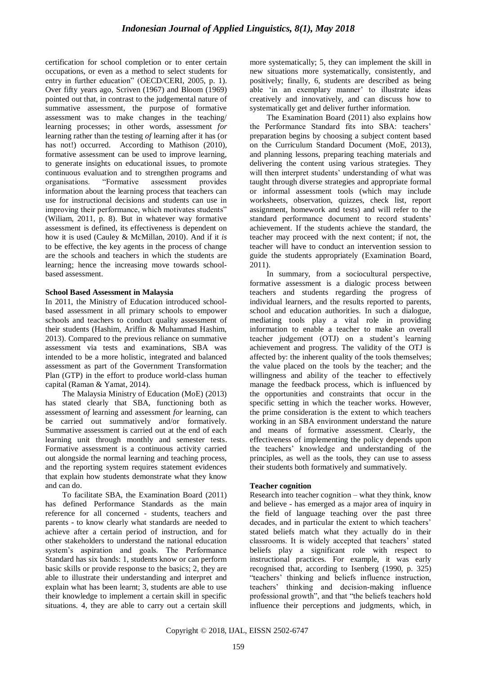certification for school completion or to enter certain occupations, or even as a method to select students for entry in further education" (OECD/CERI, 2005, p. 1). Over fifty years ago, Scriven (1967) and Bloom (1969) pointed out that, in contrast to the judgemental nature of summative assessment, the purpose of formative assessment was to make changes in the teaching/ learning processes; in other words, assessment *for* learning rather than the testing *of* learning after it has (or has not!) occurred. According to Mathison (2010), formative assessment can be used to improve learning, to generate insights on educational issues, to promote continuous evaluation and to strengthen programs and organisations. "Formative assessment provides information about the learning process that teachers can use for instructional decisions and students can use in improving their performance, which motivates students" (Wiliam, 2011, p. 8). But in whatever way formative assessment is defined, its effectiveness is dependent on how it is used (Cauley & McMillan, 2010). And if it *is* to be effective, the key agents in the process of change are the schools and teachers in which the students are learning; hence the increasing move towards schoolbased assessment.

#### **School Based Assessment in Malaysia**

In 2011, the Ministry of Education introduced schoolbased assessment in all primary schools to empower schools and teachers to conduct quality assessment of their students (Hashim, Ariffin & Muhammad Hashim, 2013). Compared to the previous reliance on summative assessment via tests and examinations, SBA was intended to be a more holistic, integrated and balanced assessment as part of the Government Transformation Plan (GTP) in the effort to produce world-class human capital (Raman & Yamat, 2014).

The Malaysia Ministry of Education (MoE) (2013) has stated clearly that SBA, functioning both as assessment *of* learning and assessment *for* learning, can be carried out summatively and/or formatively. Summative assessment is carried out at the end of each learning unit through monthly and semester tests. Formative assessment is a continuous activity carried out alongside the normal learning and teaching process, and the reporting system requires statement evidences that explain how students demonstrate what they know and can do.

To facilitate SBA, the Examination Board (2011) has defined Performance Standards as the main reference for all concerned - students, teachers and parents - to know clearly what standards are needed to achieve after a certain period of instruction, and for other stakeholders to understand the national education system"s aspiration and goals. The Performance Standard has six bands: 1, students know or can perform basic skills or provide response to the basics; 2, they are able to illustrate their understanding and interpret and explain what has been learnt; 3, students are able to use their knowledge to implement a certain skill in specific situations. 4, they are able to carry out a certain skill more systematically; 5, they can implement the skill in new situations more systematically, consistently, and positively; finally, 6, students are described as being able 'in an exemplary manner' to illustrate ideas creatively and innovatively, and can discuss how to systematically get and deliver further information.

The Examination Board (2011) also explains how the Performance Standard fits into SBA: teachers' preparation begins by choosing a subject content based on the Curriculum Standard Document (MoE, 2013), and planning lessons, preparing teaching materials and delivering the content using various strategies. They will then interpret students' understanding of what was taught through diverse strategies and appropriate formal or informal assessment tools (which may include worksheets, observation, quizzes, check list, report assignment, homework and tests) and will refer to the standard performance document to record students" achievement. If the students achieve the standard, the teacher may proceed with the next content; if not, the teacher will have to conduct an intervention session to guide the students appropriately (Examination Board, 2011).

In summary, from a sociocultural perspective, formative assessment is a dialogic process between teachers and students regarding the progress of individual learners, and the results reported to parents, school and education authorities. In such a dialogue, mediating tools play a vital role in providing information to enable a teacher to make an overall teacher judgement (OTJ) on a student"s learning achievement and progress. The validity of the OTJ is affected by: the inherent quality of the tools themselves; the value placed on the tools by the teacher; and the willingness and ability of the teacher to effectively manage the feedback process, which is influenced by the opportunities and constraints that occur in the specific setting in which the teacher works. However, the prime consideration is the extent to which teachers working in an SBA environment understand the nature and means of formative assessment. Clearly, the effectiveness of implementing the policy depends upon the teachers" knowledge and understanding of the principles, as well as the tools, they can use to assess their students both formatively and summatively.

#### **Teacher cognition**

Research into teacher cognition – what they think, know and believe - has emerged as a major area of inquiry in the field of language teaching over the past three decades, and in particular the extent to which teachers' stated beliefs match what they actually do in their classrooms. It is widely accepted that teachers" stated beliefs play a significant role with respect to instructional practices. For example, it was early recognised that, according to Isenberg (1990, p. 325) "teachers" thinking and beliefs influence instruction, teachers" thinking and decision-making influence professional growth", and that "the beliefs teachers hold influence their perceptions and judgments, which, in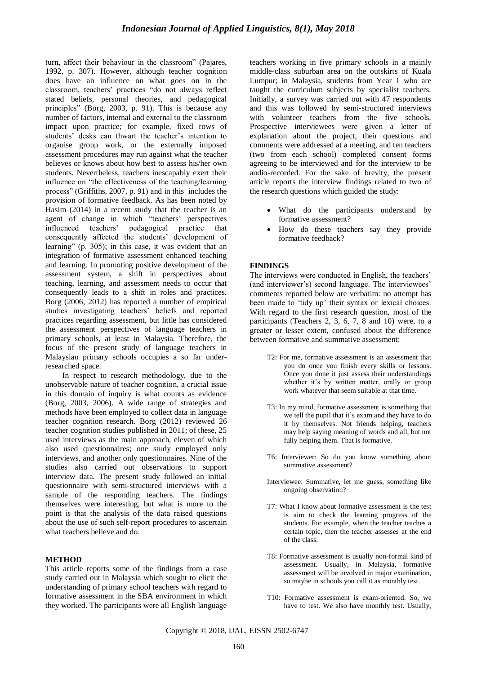turn, affect their behaviour in the classroom" (Pajares, 1992, p. 307). However, although teacher cognition does have an influence on what goes on in the classroom, teachers" practices "do not always reflect stated beliefs, personal theories, and pedagogical principles" (Borg, 2003, p. 91). This is because any number of factors, internal and external to the classroom impact upon practice; for example, fixed rows of students' desks can thwart the teacher's intention to organise group work, or the externally imposed assessment procedures may run against what the teacher believes or knows about how best to assess his/her own students. Nevertheless, teachers inescapably exert their influence on "the effectiveness of the teaching/learning process" (Griffiths, 2007, p. 91) and in this includes the provision of formative feedback. As has been noted by Hasim (2014) in a recent study that the teacher is an agent of change in which "teachers' perspectives influenced teachers" pedagogical practice that consequently affected the students' development of learning" (p. 305); in this case, it was evident that an integration of formative assessment enhanced teaching and learning. In promoting positive development of the assessment system, a shift in perspectives about teaching, learning, and assessment needs to occur that consequently leads to a shift in roles and practices. Borg (2006, 2012) has reported a number of empirical studies investigating teachers" beliefs and reported practices regarding assessment, but little has considered the assessment perspectives of language teachers in primary schools, at least in Malaysia. Therefore, the focus of the present study of language teachers in Malaysian primary schools occupies a so far underresearched space.

In respect to research methodology, due to the unobservable nature of teacher cognition, a crucial issue in this domain of inquiry is what counts as evidence (Borg, 2003, 2006). A wide range of strategies and methods have been employed to collect data in language teacher cognition research. Borg (2012) reviewed 26 teacher cognition studies published in 2011; of these, 25 used interviews as the main approach, eleven of which also used questionnaires; one study employed only interviews, and another only questionnaires. Nine of the studies also carried out observations to support interview data. The present study followed an initial questionnaire with semi-structured interviews with a sample of the responding teachers. The findings themselves were interesting, but what is more to the point is that the analysis of the data raised questions about the use of such self-report procedures to ascertain what teachers believe and do

#### **METHOD**

This article reports some of the findings from a case study carried out in Malaysia which sought to elicit the understanding of primary school teachers with regard to formative assessment in the SBA environment in which they worked. The participants were all English language teachers working in five primary schools in a mainly middle-class suburban area on the outskirts of Kuala Lumpur; in Malaysia, students from Year 1 who are taught the curriculum subjects by specialist teachers. Initially, a survey was carried out with 47 respondents and this was followed by semi-structured interviews with volunteer teachers from the five schools. Prospective interviewees were given a letter of explanation about the project, their questions and comments were addressed at a meeting, and ten teachers (two from each school) completed consent forms agreeing to be interviewed and for the interview to be audio-recorded. For the sake of brevity, the present article reports the interview findings related to two of the research questions which guided the study:

- What do the participants understand by formative assessment?
- How do these teachers say they provide formative feedback?

#### **FINDINGS**

The interviews were conducted in English, the teachers' (and interviewer's) second language. The interviewees' comments reported below are verbatim: no attempt has been made to 'tidy up' their syntax or lexical choices. With regard to the first research question, most of the participants (Teachers 2, 3, 6, 7, 8 and 10) were, to a greater or lesser extent, confused about the difference between formative and summative assessment:

- T2: For me, formative assessment is an assessment that you do once you finish every skills or lessons. Once you done it just assess their understandings whether it's by written matter, orally or group work whatever that seem suitable at that time.
- T3: In my mind, formative assessment is something that we tell the pupil that it's exam and they have to do it by themselves. Not friends helping, teachers may help saying meaning of words and all, but not fully helping them. That is formative.
- T6: Interviewer: So do you know something about summative assessment?
- Interviewee: Summative, let me guess, something like ongoing observation?
- T7: What I know about formative assessment is the test is aim to check the learning progress of the students. For example, when the teacher teaches a certain topic, then the teacher assesses at the end of the class.
- T8: Formative assessment is usually non-formal kind of assessment. Usually, in Malaysia, formative assessment will be involved in major examination, so maybe in schools you call it as monthly test.
- T10: Formative assessment is exam-oriented. So, we have to test. We also have monthly test. Usually,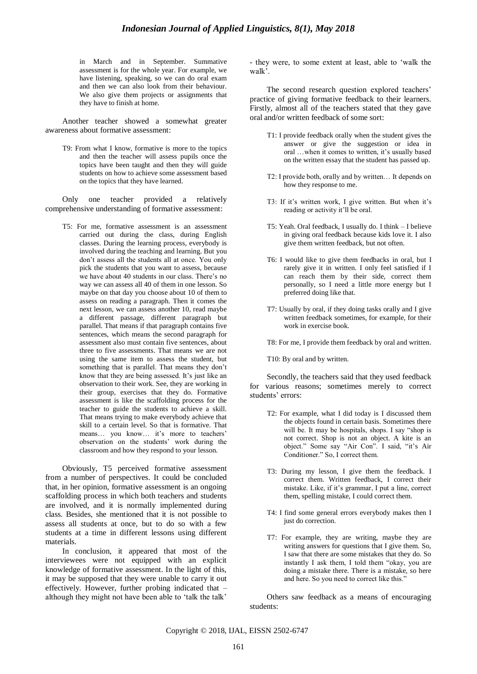in March and in September. Summative assessment is for the whole year. For example, we have listening, speaking, so we can do oral exam and then we can also look from their behaviour. We also give them projects or assignments that they have to finish at home.

Another teacher showed a somewhat greater awareness about formative assessment:

T9: From what I know, formative is more to the topics and then the teacher will assess pupils once the topics have been taught and then they will guide students on how to achieve some assessment based on the topics that they have learned.

Only one teacher provided a relatively comprehensive understanding of formative assessment:

T5: For me, formative assessment is an assessment carried out during the class, during English classes. During the learning process, everybody is involved during the teaching and learning. But you don"t assess all the students all at once. You only pick the students that you want to assess, because we have about 40 students in our class. There's no way we can assess all 40 of them in one lesson. So maybe on that day you choose about 10 of them to assess on reading a paragraph. Then it comes the next lesson, we can assess another 10, read maybe a different passage, different paragraph but parallel. That means if that paragraph contains five sentences, which means the second paragraph for assessment also must contain five sentences, about three to five assessments. That means we are not using the same item to assess the student, but something that is parallel. That means they don"t know that they are being assessed. It's just like an observation to their work. See, they are working in their group, exercises that they do. Formative assessment is like the scaffolding process for the teacher to guide the students to achieve a skill. That means trying to make everybody achieve that skill to a certain level. So that is formative. That means... you know... it's more to teachers' observation on the students" work during the classroom and how they respond to your lesson.

Obviously, T5 perceived formative assessment from a number of perspectives. It could be concluded that, in her opinion, formative assessment is an ongoing scaffolding process in which both teachers and students are involved, and it is normally implemented during class. Besides, she mentioned that it is not possible to assess all students at once, but to do so with a few students at a time in different lessons using different materials.

In conclusion, it appeared that most of the interviewees were not equipped with an explicit knowledge of formative assessment. In the light of this, it may be supposed that they were unable to carry it out effectively. However, further probing indicated that – although they might not have been able to "talk the talk"

- they were, to some extent at least, able to "walk the walk'.

The second research question explored teachers' practice of giving formative feedback to their learners. Firstly, almost all of the teachers stated that they gave oral and/or written feedback of some sort:

- T1: I provide feedback orally when the student gives the answer or give the suggestion or idea in oral ...when it comes to written, it's usually based on the written essay that the student has passed up.
- T2: I provide both, orally and by written… It depends on how they response to me.
- T3: If it's written work, I give written. But when it's reading or activity it"ll be oral.
- T5: Yeah. Oral feedback, I usually do. I think I believe in giving oral feedback because kids love it. I also give them written feedback, but not often.
- T6: I would like to give them feedbacks in oral, but I rarely give it in written. I only feel satisfied if I can reach them by their side, correct them personally, so I need a little more energy but I preferred doing like that.
- T7: Usually by oral, if they doing tasks orally and I give written feedback sometimes, for example, for their work in exercise book.
- T8: For me, I provide them feedback by oral and written.

T10: By oral and by written.

Secondly, the teachers said that they used feedback for various reasons; sometimes merely to correct students' errors:

- T2: For example, what I did today is I discussed them the objects found in certain basis. Sometimes there will be. It may be hospitals, shops. I say "shop is not correct. Shop is not an object. A kite is an object." Some say "Air Con". I said, "it"s Air Conditioner." So, I correct them.
- T3: During my lesson, I give them the feedback. I correct them. Written feedback, I correct their mistake. Like, if it"s grammar, I put a line, correct them, spelling mistake, I could correct them.
- T4: I find some general errors everybody makes then I just do correction.
- T7: For example, they are writing, maybe they are writing answers for questions that I give them. So, I saw that there are some mistakes that they do. So instantly I ask them, I told them "okay, you are doing a mistake there. There is a mistake, so here and here. So you need to correct like this."

Others saw feedback as a means of encouraging students: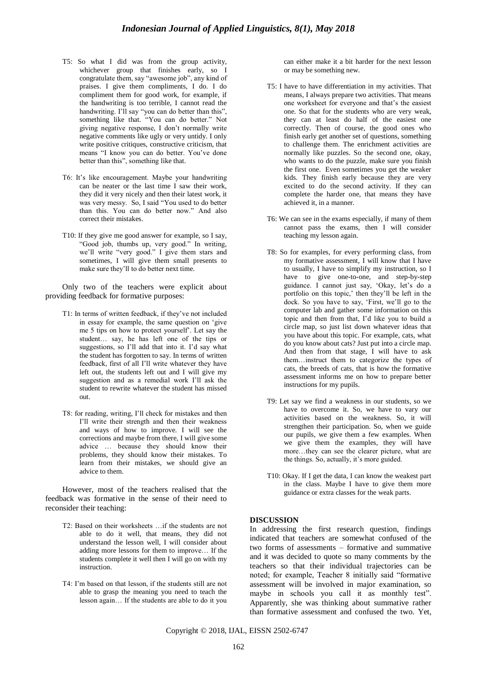- T5: So what I did was from the group activity, whichever group that finishes early, so I congratulate them, say "awesome job", any kind of praises. I give them compliments, I do. I do compliment them for good work, for example, if the handwriting is too terrible, I cannot read the handwriting. I'll say "you can do better than this", something like that. "You can do better." Not giving negative response, I don"t normally write negative comments like ugly or very untidy. I only write positive critiques, constructive criticism, that means "I know you can do better. You"ve done better than this", something like that.
- T6: It"s like encouragement. Maybe your handwriting can be neater or the last time I saw their work, they did it very nicely and then their latest work, it was very messy. So, I said "You used to do better than this. You can do better now." And also correct their mistakes.
- T10: If they give me good answer for example, so I say, "Good job, thumbs up, very good." In writing, we"ll write "very good." I give them stars and sometimes, I will give them small presents to make sure they"ll to do better next time.

Only two of the teachers were explicit about providing feedback for formative purposes:

- T1: In terms of written feedback, if they"ve not included in essay for example, the same question on "give me 5 tips on how to protect yourself". Let say the student… say, he has left one of the tips or suggestions, so I'll add that into it. I'd say what the student has forgotten to say. In terms of written feedback, first of all I"ll write whatever they have left out, the students left out and I will give my suggestion and as a remedial work I"ll ask the student to rewrite whatever the student has missed out.
- T8: for reading, writing, I"ll check for mistakes and then I"ll write their strength and then their weakness and ways of how to improve. I will see the corrections and maybe from there, I will give some advice … because they should know their problems, they should know their mistakes. To learn from their mistakes, we should give an advice to them.

However, most of the teachers realised that the feedback was formative in the sense of their need to reconsider their teaching:

- T2: Based on their worksheets …if the students are not able to do it well, that means, they did not understand the lesson well, I will consider about adding more lessons for them to improve… If the students complete it well then I will go on with my instruction.
- T4: I"m based on that lesson, if the students still are not able to grasp the meaning you need to teach the lesson again… If the students are able to do it you

can either make it a bit harder for the next lesson or may be something new.

- T5: I have to have differentiation in my activities. That means, I always prepare two activities. That means one worksheet for everyone and that"s the easiest one. So that for the students who are very weak, they can at least do half of the easiest one correctly. Then of course, the good ones who finish early get another set of questions, something to challenge them. The enrichment activities are normally like puzzles. So the second one, okay, who wants to do the puzzle, make sure you finish the first one. Even sometimes you get the weaker kids. They finish early because they are very excited to do the second activity. If they can complete the harder one, that means they have achieved it, in a manner*.*
- T6: We can see in the exams especially, if many of them cannot pass the exams, then I will consider teaching my lesson again.
- T8: So for examples, for every performing class, from my formative assessment, I will know that I have to usually, I have to simplify my instruction, so I have to give one-to-one, and step-by-step guidance. I cannot just say, 'Okay, let's do a portfolio on this topic,' then they'll be left in the dock. So you have to say, "First, we"ll go to the computer lab and gather some information on this topic and then from that, I"d like you to build a circle map, so just list down whatever ideas that you have about this topic. For example, cats, what do you know about cats? Just put into a circle map. And then from that stage, I will have to ask them…instruct them to categorize the types of cats, the breeds of cats, that is how the formative assessment informs me on how to prepare better instructions for my pupils.
- T9: Let say we find a weakness in our students, so we have to overcome it. So, we have to vary our activities based on the weakness. So, it will strengthen their participation. So, when we guide our pupils, we give them a few examples. When we give them the examples, they will have more…they can see the clearer picture, what are the things. So, actually, it's more guided.
- T10: Okay. If I get the data, I can know the weakest part in the class. Maybe I have to give them more guidance or extra classes for the weak parts.

#### **DISCUSSION**

In addressing the first research question, findings indicated that teachers are somewhat confused of the two forms of assessments – formative and summative and it was decided to quote so many comments by the teachers so that their individual trajectories can be noted; for example, Teacher 8 initially said "formative assessment will be involved in major examination, so maybe in schools you call it as monthly test". Apparently, she was thinking about summative rather than formative assessment and confused the two. Yet,

Copyright © 2018, IJAL, EISSN [2502-6747](http://u.lipi.go.id/1435827202)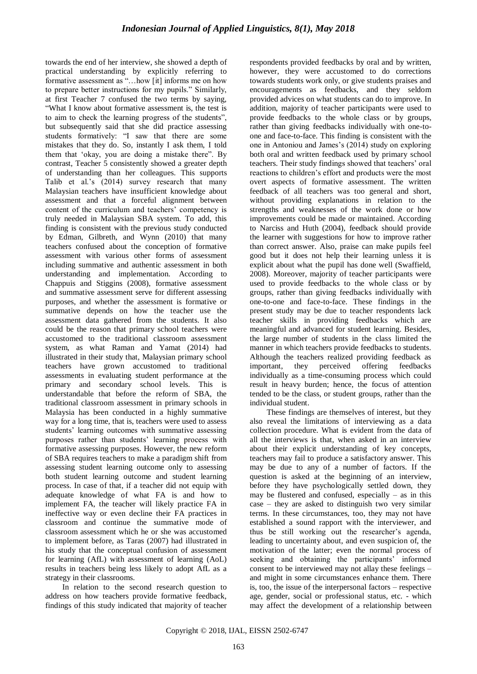towards the end of her interview, she showed a depth of practical understanding by explicitly referring to formative assessment as "…how [it] informs me on how to prepare better instructions for my pupils." Similarly, at first Teacher 7 confused the two terms by saying, "What I know about formative assessment is, the test is to aim to check the learning progress of the students", but subsequently said that she did practice assessing students formatively: "I saw that there are some mistakes that they do. So, instantly I ask them, I told them that "okay, you are doing a mistake there". By contrast, Teacher 5 consistently showed a greater depth of understanding than her colleagues. This supports Talib et al.'s (2014) survey research that many Malaysian teachers have insufficient knowledge about assessment and that a forceful alignment between content of the curriculum and teachers' competency is truly needed in Malaysian SBA system. To add, this finding is consistent with the previous study conducted by Edman, Gilbreth, and Wynn (2010) that many teachers confused about the conception of formative assessment with various other forms of assessment including summative and authentic assessment in both understanding and implementation. According to Chappuis and Stiggins (2008), formative assessment and summative assessment serve for different assessing purposes, and whether the assessment is formative or summative depends on how the teacher use the assessment data gathered from the students. It also could be the reason that primary school teachers were accustomed to the traditional classroom assessment system, as what Raman and Yamat (2014) had illustrated in their study that, Malaysian primary school teachers have grown accustomed to traditional assessments in evaluating student performance at the primary and secondary school levels. This is understandable that before the reform of SBA, the traditional classroom assessment in primary schools in Malaysia has been conducted in a highly summative way for a long time, that is, teachers were used to assess students' learning outcomes with summative assessing purposes rather than students' learning process with formative assessing purposes. However, the new reform of SBA requires teachers to make a paradigm shift from assessing student learning outcome only to assessing both student learning outcome and student learning process. In case of that, if a teacher did not equip with adequate knowledge of what FA is and how to implement FA, the teacher will likely practice FA in ineffective way or even decline their FA practices in classroom and continue the summative mode of classroom assessment which he or she was accustomed to implement before, as Taras (2007) had illustrated in his study that the conceptual confusion of assessment for learning (AfL) with assessment of learning (AoL) results in teachers being less likely to adopt AfL as a strategy in their classrooms.

In relation to the second research question to address on how teachers provide formative feedback, findings of this study indicated that majority of teacher respondents provided feedbacks by oral and by written, however, they were accustomed to do corrections towards students work only, or give students praises and encouragements as feedbacks, and they seldom provided advices on what students can do to improve. In addition, majority of teacher participants were used to provide feedbacks to the whole class or by groups, rather than giving feedbacks individually with one-toone and face-to-face. This finding is consistent with the one in Antoniou and James"s (2014) study on exploring both oral and written feedback used by primary school teachers. Their study findings showed that teachers" oral reactions to children"s effort and products were the most overt aspects of formative assessment. The written feedback of all teachers was too general and short, without providing explanations in relation to the strengths and weaknesses of the work done or how improvements could be made or maintained. According to Narciss and Huth (2004), feedback should provide the learner with suggestions for how to improve rather than correct answer. Also, praise can make pupils feel good but it does not help their learning unless it is explicit about what the pupil has done well (Swaffield, 2008). Moreover, majority of teacher participants were used to provide feedbacks to the whole class or by groups, rather than giving feedbacks individually with one-to-one and face-to-face. These findings in the present study may be due to teacher respondents lack teacher skills in providing feedbacks which are meaningful and advanced for student learning. Besides, the large number of students in the class limited the manner in which teachers provide feedbacks to students. Although the teachers realized providing feedback as important, they perceived offering feedbacks individually as a time-consuming process which could result in heavy burden; hence, the focus of attention tended to be the class, or student groups, rather than the individual student.

These findings are themselves of interest, but they also reveal the limitations of interviewing as a data collection procedure. What is evident from the data of all the interviews is that, when asked in an interview about their explicit understanding of key concepts, teachers may fail to produce a satisfactory answer. This may be due to any of a number of factors. If the question is asked at the beginning of an interview, before they have psychologically settled down, they may be flustered and confused, especially – as in this case – they are asked to distinguish two very similar terms. In these circumstances, too, they may not have established a sound rapport with the interviewer, and thus be still working out the researcher"s agenda, leading to uncertainty about, and even suspicion of, the motivation of the latter; even the normal process of seeking and obtaining the participants' informed consent to be interviewed may not allay these feelings – and might in some circumstances enhance them. There is, too, the issue of the interpersonal factors – respective age, gender, social or professional status, etc. - which may affect the development of a relationship between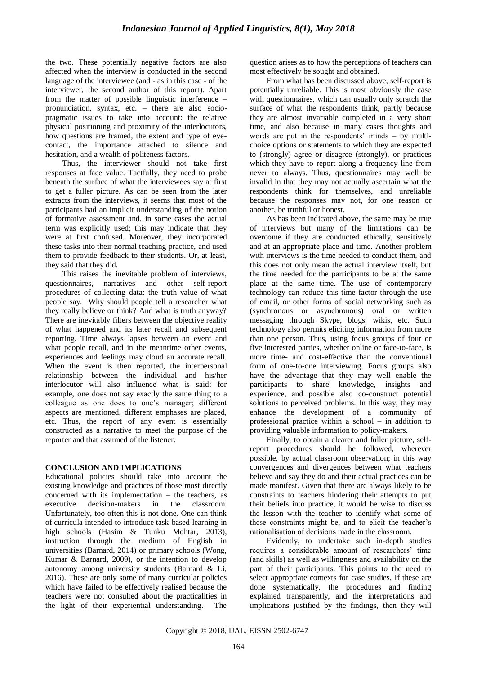the two. These potentially negative factors are also affected when the interview is conducted in the second language of the interviewee (and - as in this case - of the interviewer, the second author of this report). Apart from the matter of possible linguistic interference – pronunciation, syntax, etc. – there are also sociopragmatic issues to take into account: the relative physical positioning and proximity of the interlocutors, how questions are framed, the extent and type of eyecontact, the importance attached to silence and hesitation, and a wealth of politeness factors.

Thus, the interviewer should not take first responses at face value. Tactfully, they need to probe beneath the surface of what the interviewees say at first to get a fuller picture. As can be seen from the later extracts from the interviews, it seems that most of the participants had an implicit understanding of the notion of formative assessment and, in some cases the actual term was explicitly used; this may indicate that they were at first confused. Moreover, they incorporated these tasks into their normal teaching practice, and used them to provide feedback to their students. Or, at least, they said that they did.

This raises the inevitable problem of interviews, questionnaires, narratives and other self-report procedures of collecting data: the truth value of what people say. Why should people tell a researcher what they really believe or think? And what is truth anyway? There are inevitably filters between the objective reality of what happened and its later recall and subsequent reporting. Time always lapses between an event and what people recall, and in the meantime other events, experiences and feelings may cloud an accurate recall. When the event is then reported, the interpersonal relationship between the individual and his/her interlocutor will also influence what is said; for example, one does not say exactly the same thing to a colleague as one does to one"s manager; different aspects are mentioned, different emphases are placed, etc. Thus, the report of any event is essentially constructed as a narrative to meet the purpose of the reporter and that assumed of the listener.

## **CONCLUSION AND IMPLICATIONS**

Educational policies should take into account the existing knowledge and practices of those most directly concerned with its implementation – the teachers, as executive decision-makers in the classroom. Unfortunately, too often this is not done. One can think of curricula intended to introduce task-based learning in high schools (Hasim & Tunku Mohtar, 2013), instruction through the medium of English in universities (Barnard, 2014) or primary schools (Wong, Kumar & Barnard, 2009), or the intention to develop autonomy among university students (Barnard & Li, 2016). These are only some of many curricular policies which have failed to be effectively realised because the teachers were not consulted about the practicalities in the light of their experiential understanding. The question arises as to how the perceptions of teachers can most effectively be sought and obtained.

From what has been discussed above, self-report is potentially unreliable. This is most obviously the case with questionnaires, which can usually only scratch the surface of what the respondents think, partly because they are almost invariable completed in a very short time, and also because in many cases thoughts and words are put in the respondents' minds  $-$  by multichoice options or statements to which they are expected to (strongly) agree or disagree (strongly), or practices which they have to report along a frequency line from never to always. Thus, questionnaires may well be invalid in that they may not actually ascertain what the respondents think for themselves, and unreliable because the responses may not, for one reason or another, be truthful or honest.

As has been indicated above, the same may be true of interviews but many of the limitations can be overcome if they are conducted ethically, sensitively and at an appropriate place and time. Another problem with interviews is the time needed to conduct them, and this does not only mean the actual interview itself, but the time needed for the participants to be at the same place at the same time. The use of contemporary technology can reduce this time-factor through the use of email, or other forms of social networking such as (synchronous or asynchronous) oral or written messaging through Skype, blogs, wikis, etc. Such technology also permits eliciting information from more than one person. Thus, using focus groups of four or five interested parties, whether online or face-to-face, is more time- and cost-effective than the conventional form of one-to-one interviewing. Focus groups also have the advantage that they may well enable the participants to share knowledge, insights and experience, and possible also co-construct potential solutions to perceived problems. In this way, they may enhance the development of a community of professional practice within a school – in addition to providing valuable information to policy-makers.

Finally, to obtain a clearer and fuller picture, selfreport procedures should be followed, wherever possible, by actual classroom observation; in this way convergences and divergences between what teachers believe and say they do and their actual practices can be made manifest. Given that there are always likely to be constraints to teachers hindering their attempts to put their beliefs into practice, it would be wise to discuss the lesson with the teacher to identify what some of these constraints might be, and to elicit the teacher"s rationalisation of decisions made in the classroom.

Evidently, to undertake such in-depth studies requires a considerable amount of researchers' time (and skills) as well as willingness and availability on the part of their participants. This points to the need to select appropriate contexts for case studies. If these are done systematically, the procedures and finding explained transparently, and the interpretations and implications justified by the findings, then they will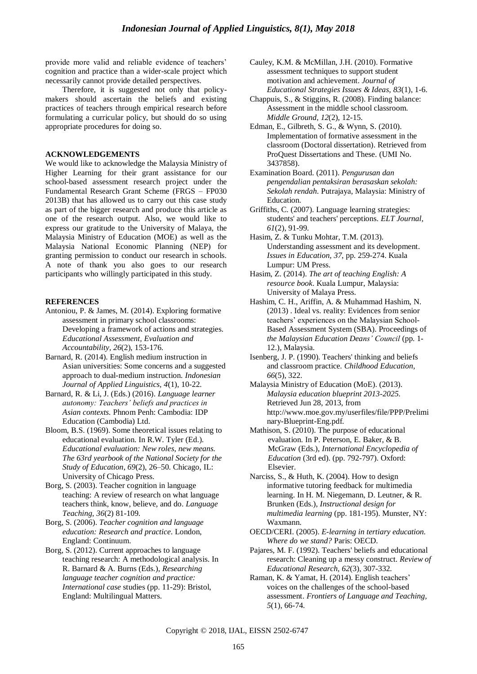provide more valid and reliable evidence of teachers' cognition and practice than a wider-scale project which necessarily cannot provide detailed perspectives.

Therefore, it is suggested not only that policymakers should ascertain the beliefs and existing practices of teachers through empirical research before formulating a curricular policy, but should do so using appropriate procedures for doing so.

#### **ACKNOWLEDGEMENTS**

We would like to acknowledge the Malaysia Ministry of Higher Learning for their grant assistance for our school-based assessment research project under the Fundamental Research Grant Scheme (FRGS – FP030 2013B) that has allowed us to carry out this case study as part of the bigger research and produce this article as one of the research output. Also, we would like to express our gratitude to the University of Malaya, the Malaysia Ministry of Education (MOE) as well as the Malaysia National Economic Planning (NEP) for granting permission to conduct our research in schools. A note of thank you also goes to our research participants who willingly participated in this study.

#### **REFERENCES**

- Antoniou, P. & James, M. (2014). Exploring formative assessment in primary school classrooms: Developing a framework of actions and strategies. *Educational Assessment, Evaluation and Accountability, 26*(2), 153-176.
- Barnard, R. (2014). English medium instruction in Asian universities: Some concerns and a suggested approach to dual-medium instruction. *Indonesian Journal of Applied Linguistics, 4*(1), 10-22.
- Barnard, R. & Li, J. (Eds.) (2016). *Language learner autonomy: Teachers' beliefs and practices in Asian contexts.* Phnom Penh: Cambodia: IDP Education (Cambodia) Ltd.
- Bloom, B.S. (1969). Some theoretical issues relating to educational evaluation. In R.W. Tyler (Ed.). *Educational evaluation: New roles, new means. The 63rd yearbook of the National Society for the Study of Education*, *69*(2), 26–50. Chicago, IL: University of Chicago Press.
- Borg, S. (2003). Teacher cognition in language teaching: A review of research on what language teachers think, know, believe, and do*. Language Teaching, 36*(2) 81-109.
- Borg, S. (2006). *Teacher cognition and language education: Research and practice*. London, England: Continuum.
- Borg, S. (2012). Current approaches to language teaching research: A methodological analysis. In R. Barnard & A. Burns (Eds.), *Researching language teacher cognition and practice: International case* studies (pp. 11-29): Bristol, England: Multilingual Matters.
- Cauley, K.M. & McMillan, J.H. (2010). Formative assessment techniques to support student motivation and achievement. *Journal of Educational Strategies Issues & Ideas, 83*(1), 1-6.
- Chappuis, S., & Stiggins, R. (2008). Finding balance: Assessment in the middle school classroom. *Middle Ground*, *12*(2), 12-15.
- Edman, E., Gilbreth, S. G., & Wynn, S. (2010). Implementation of formative assessment in the classroom (Doctoral dissertation). Retrieved from ProQuest Dissertations and These. (UMI No. 3437858).
- Examination Board. (2011). *Pengurusan dan pengendalian pentaksiran berasaskan sekolah: Sekolah rendah*. Putrajaya, Malaysia: Ministry of Education.
- Griffiths, C. (2007). Language learning strategies: students' and teachers' perceptions. *ELT Journal, 61*(2), 91-99.
- Hasim, Z. & Tunku Mohtar, T.M. (2013). Understanding assessment and its development. *Issues in Education, 37*, pp. 259-274. Kuala Lumpur: UM Press.
- Hasim, Z. (2014). *The art of teaching English: A resource book*. Kuala Lumpur, Malaysia: University of Malaya Press.
- Hashim, C. H., Ariffin, A. & Muhammad Hashim, N. (2013) . Ideal vs. reality: Evidences from senior teachers" experiences on the Malaysian School-Based Assessment System (SBA). Proceedings of *the Malaysian Education Deans' Council* (pp. 1- 12.), Malaysia.
- Isenberg, J. P. (1990). Teachers' thinking and beliefs and classroom practice. *Childhood Education, 66*(5), 322.
- Malaysia Ministry of Education (MoE). (2013). *Malaysia education blueprint 2013-2025*. Retrieved Jun 28, 2013, from http://www.moe.gov.my/userfiles/file/PPP/Prelimi nary-Blueprint-Eng.pdf.
- Mathison, S. (2010). The purpose of educational evaluation. In P. Peterson, E. Baker, & B. McGraw (Eds.), *International Encyclopedia of Education* (3rd ed). (pp. 792-797). Oxford: Elsevier.
- Narciss, S., & Huth, K. (2004). How to design informative tutoring feedback for multimedia learning. In H. M. Niegemann, D. Leutner, & R. Brunken (Eds.), *Instructional design for multimedia learning* (pp. 181-195). Munster, NY: Waxmann.
- OECD/CERI. (2005). *E-learning in tertiary education. Where do we stand?* Paris: OECD.
- Pajares, M. F. (1992). Teachers' beliefs and educational research: Cleaning up a messy construct. *Review of Educational Research, 62*(3), 307-332.
- Raman, K. & Yamat, H. (2014). English teachers' voices on the challenges of the school-based assessment. *Frontiers of Language and Teaching, 5*(1), 66-74.

Copyright © 2018, IJAL, EISSN [2502-6747](http://u.lipi.go.id/1435827202)